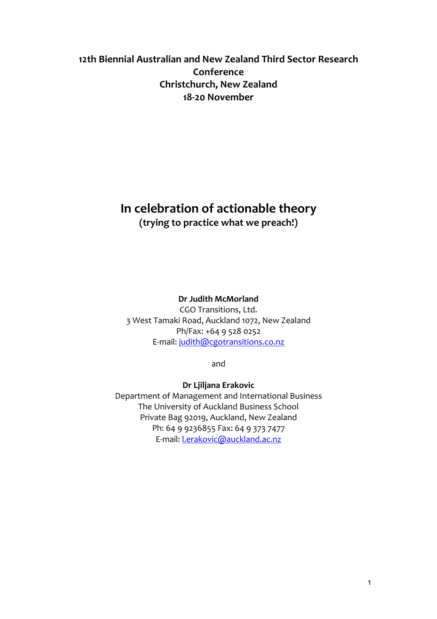# 12th Biennial Australian and New Zealand Third Sector Research **Conference Christchurch, New Zealand** 18-20 November

# **In celebration of actionable theory**

(trying to practice what we preach!)

# **Dr Judith McMorland**

CGO Transitions, Ltd. 3 West Tamaki Road, Auckland 1072, New Zealand Ph/Fax: +64 9 528 0252 E-mail: judith@cgotransitions.co.nz

and

# **Dr Ljiljana Erakovic**

Department of Management and International Business The University of Auckland Business School Private Bag 92019, Auckland, New Zealand Ph: 64 9 9236855 Fax: 64 9 373 7477 E-mail: l.erakovic@auckland.ac.nz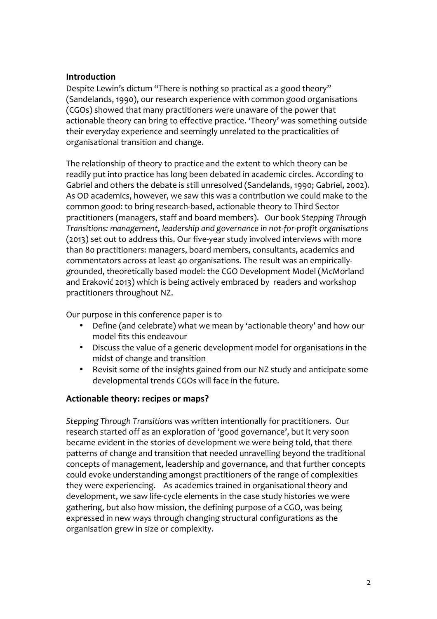## **Introduction**

Despite Lewin's dictum "There is nothing so practical as a good theory" (Sandelands, 1990), our research experience with common good organisations (CGOs) showed that many practitioners were unaware of the power that actionable theory can bring to effective practice. 'Theory' was something outside their everyday experience and seemingly unrelated to the practicalities of organisational transition and change.

The relationship of theory to practice and the extent to which theory can be readily put into practice has long been debated in academic circles. According to Gabriel and others the debate is still unresolved (Sandelands, 1990; Gabriel, 2002). As OD academics, however, we saw this was a contribution we could make to the common good: to bring research-based, actionable theory to Third Sector practitioners (managers, staff and board members). Our book Stepping Through *Transitions: management, leadership and governance in not-for-profit organisations* (2013) set out to address this. Our five-year study involved interviews with more than 80 practitioners: managers, board members, consultants, academics and commentators across at least 40 organisations. The result was an empiricallygrounded, theoretically based model: the CGO Development Model (McMorland and Eraković 2013) which is being actively embraced by readers and workshop practitioners throughout NZ.

Our purpose in this conference paper is to

- Define (and celebrate) what we mean by 'actionable theory' and how our model fits this endeavour
- Discuss the value of a generic development model for organisations in the midst of change and transition
- Revisit some of the insights gained from our NZ study and anticipate some developmental trends CGOs will face in the future.

# Actionable theory: recipes or maps?

*Stepping Through Transitions* was written intentionally for practitioners. Our research started off as an exploration of 'good governance', but it very soon became evident in the stories of development we were being told, that there patterns of change and transition that needed unravelling beyond the traditional concepts of management, leadership and governance, and that further concepts could evoke understanding amongst practitioners of the range of complexities they were experiencing. As academics trained in organisational theory and development, we saw life-cycle elements in the case study histories we were gathering, but also how mission, the defining purpose of a CGO, was being expressed in new ways through changing structural configurations as the organisation grew in size or complexity.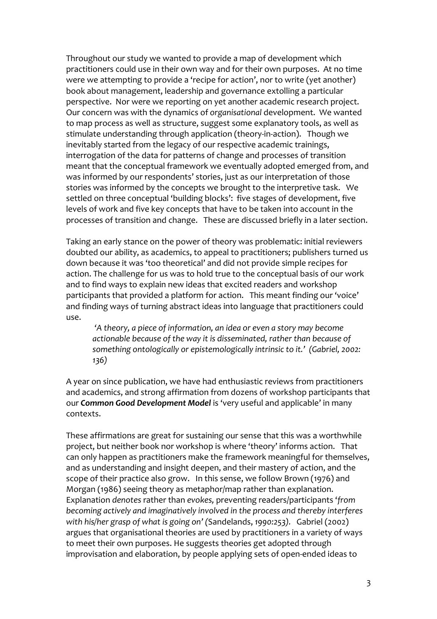Throughout our study we wanted to provide a map of development which practitioners could use in their own way and for their own purposes. At no time were we attempting to provide a 'recipe for action', nor to write (yet another) book about management, leadership and governance extolling a particular perspective. Nor were we reporting on yet another academic research project. Our concern was with the dynamics of *organisational* development. We wanted to map process as well as structure, suggest some explanatory tools, as well as stimulate understanding through application (theory-in-action). Though we inevitably started from the legacy of our respective academic trainings, interrogation of the data for patterns of change and processes of transition meant that the conceptual framework we eventually adopted emerged from, and was informed by our respondents' stories, just as our interpretation of those stories was informed by the concepts we brought to the interpretive task. We settled on three conceptual 'building blocks': five stages of development, five levels of work and five key concepts that have to be taken into account in the processes of transition and change. These are discussed briefly in a later section.

Taking an early stance on the power of theory was problematic: initial reviewers doubted our ability, as academics, to appeal to practitioners; publishers turned us down because it was 'too theoretical' and did not provide simple recipes for action. The challenge for us was to hold true to the conceptual basis of our work and to find ways to explain new ideas that excited readers and workshop participants that provided a platform for action. This meant finding our 'voice' and finding ways of turning abstract ideas into language that practitioners could use. 

*'A* theory, a piece of information, an idea or even a story may become *actionable because of the way it is disseminated, rather than because of* something ontologically or epistemologically intrinsic to it.' (Gabriel, 2002: *136)*

A year on since publication, we have had enthusiastic reviews from practitioners and academics, and strong affirmation from dozens of workshop participants that our **Common Good Development Model** is 'very useful and applicable' in many contexts. 

These affirmations are great for sustaining our sense that this was a worthwhile project, but neither book nor workshop is where 'theory' informs action. That can only happen as practitioners make the framework meaningful for themselves, and as understanding and insight deepen, and their mastery of action, and the scope of their practice also grow. In this sense, we follow Brown (1976) and Morgan (1986) seeing theory as metaphor/map rather than explanation. Explanation *denotes* rather than *evokes*, preventing readers/participants 'from *becoming actively and imaginatively involved in the process and thereby interferes with his/her grasp of what is going on'* (Sandelands, 1990:253). Gabriel (2002) argues that organisational theories are used by practitioners in a variety of ways to meet their own purposes. He suggests theories get adopted through improvisation and elaboration, by people applying sets of open-ended ideas to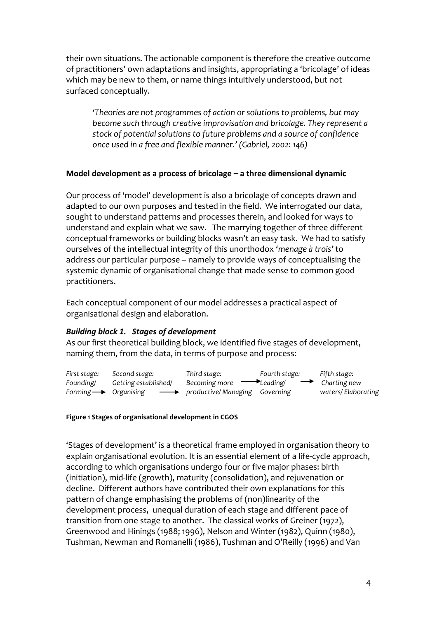their own situations. The actionable component is therefore the creative outcome of practitioners' own adaptations and insights, appropriating a 'bricolage' of ideas which may be new to them, or name things intuitively understood, but not surfaced conceptually.

*'Theories are not programmes of action or solutions to problems, but may become such through creative improvisation and bricolage. They represent a* stock of potential solutions to future problems and a source of confidence *once used in a free and flexible manner.'* (Gabriel, 2002: 146)

#### **Model development as a process of bricolage – a three dimensional dynamic**

Our process of 'model' development is also a bricolage of concepts drawn and adapted to our own purposes and tested in the field. We interrogated our data, sought to understand patterns and processes therein, and looked for ways to understand and explain what we saw. The marrying together of three different conceptual frameworks or building blocks wasn't an easy task. We had to satisfy ourselves of the intellectual integrity of this unorthodox 'menage à trois' to address our particular purpose – namely to provide ways of conceptualising the systemic dynamic of organisational change that made sense to common good practitioners. 

Each conceptual component of our model addresses a practical aspect of organisational design and elaboration.

## *Building block 1. Stages of development*

As our first theoretical building block, we identified five stages of development, naming them, from the data, in terms of purpose and process:



#### **Figure 1 Stages of organisational development in CGOS**

**Stages** of development' is a theoretical frame employed in organisation theory to explain organisational evolution. It is an essential element of a life-cycle approach, according to which organisations undergo four or five major phases: birth (initiation), mid-life (growth), maturity (consolidation), and rejuvenation or decline. Different authors have contributed their own explanations for this pattern of change emphasising the problems of (non)linearity of the development process, unequal duration of each stage and different pace of transition from one stage to another. The classical works of Greiner (1972), Greenwood and Hinings (1988; 1996), Nelson and Winter (1982), Quinn (1980), Tushman, Newman and Romanelli (1986), Tushman and O'Reilly (1996) and Van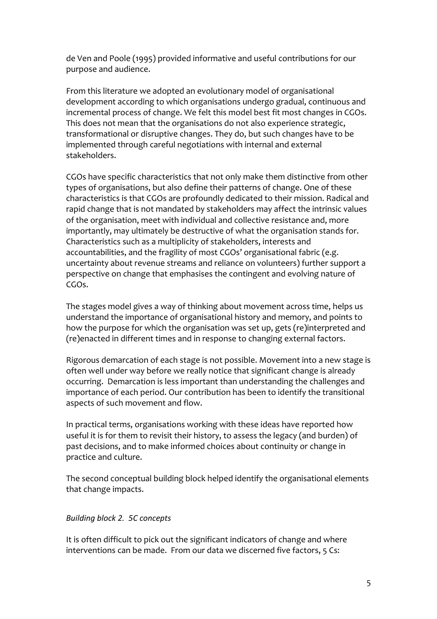de Ven and Poole (1995) provided informative and useful contributions for our purpose and audience.

From this literature we adopted an evolutionary model of organisational development according to which organisations undergo gradual, continuous and incremental process of change. We felt this model best fit most changes in CGOs. This does not mean that the organisations do not also experience strategic, transformational or disruptive changes. They do, but such changes have to be implemented through careful negotiations with internal and external stakeholders.

CGOs have specific characteristics that not only make them distinctive from other types of organisations, but also define their patterns of change. One of these characteristics is that CGOs are profoundly dedicated to their mission. Radical and rapid change that is not mandated by stakeholders may affect the intrinsic values of the organisation, meet with individual and collective resistance and, more importantly, may ultimately be destructive of what the organisation stands for. Characteristics such as a multiplicity of stakeholders, interests and accountabilities, and the fragility of most CGOs' organisational fabric (e.g. uncertainty about revenue streams and reliance on volunteers) further support a perspective on change that emphasises the contingent and evolving nature of CGOs.

The stages model gives a way of thinking about movement across time, helps us understand the importance of organisational history and memory, and points to how the purpose for which the organisation was set up, gets (re)interpreted and (re)enacted in different times and in response to changing external factors.

Rigorous demarcation of each stage is not possible. Movement into a new stage is often well under way before we really notice that significant change is already occurring. Demarcation is less important than understanding the challenges and importance of each period. Our contribution has been to identify the transitional aspects of such movement and flow.

In practical terms, organisations working with these ideas have reported how useful it is for them to revisit their history, to assess the legacy (and burden) of past decisions, and to make informed choices about continuity or change in practice and culture.

The second conceptual building block helped identify the organisational elements that change impacts.

## *Building block 2. 5C concepts*

It is often difficult to pick out the significant indicators of change and where interventions can be made. From our data we discerned five factors, 5 Cs: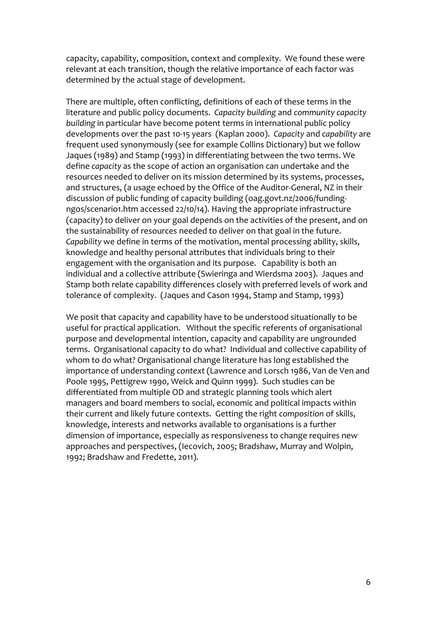capacity, capability, composition, context and complexity. We found these were relevant at each transition, though the relative importance of each factor was determined by the actual stage of development.

There are multiple, often conflicting, definitions of each of these terms in the literature and public policy documents. Capacity building and community capacity **building** in particular have become potent terms in international public policy developments over the past 10-15 years (Kaplan 2000). Capacity and *capability* are frequent used synonymously (see for example Collins Dictionary) but we follow Jaques (1989) and Stamp (1993) in differentiating between the two terms. We define *capacity* as the scope of action an organisation can undertake and the resources needed to deliver on its mission determined by its systems, processes, and structures, (a usage echoed by the Office of the Auditor-General, NZ in their discussion of public funding of capacity building (oag.govt.nz/2006/fundingngos/scenario1.htm accessed 22/10/14). Having the appropriate infrastructure (capacity) to deliver on your goal depends on the activities of the present, and on the sustainability of resources needed to deliver on that goal in the future. *Capability* we define in terms of the motivation, mental processing ability, skills, knowledge and healthy personal attributes that individuals bring to their engagement with the organisation and its purpose. Capability is both an individual and a collective attribute (Swieringa and Wierdsma 2003). Jaques and Stamp both relate capability differences closely with preferred levels of work and tolerance of complexity. (Jaques and Cason 1994, Stamp and Stamp, 1993)

We posit that capacity and capability have to be understood situationally to be useful for practical application. Without the specific referents of organisational purpose and developmental intention, capacity and capability are ungrounded terms. Organisational capacity to do what? Individual and collective capability of whom to do what? Organisational change literature has long established the importance of understanding *context* (Lawrence and Lorsch 1986, Van de Ven and Poole 1995, Pettigrew 1990, Weick and Quinn 1999). Such studies can be differentiated from multiple OD and strategic planning tools which alert managers and board members to social, economic and political impacts within their current and likely future contexts. Getting the right *composition* of skills, knowledge, interests and networks available to organisations is a further dimension of importance, especially as responsiveness to change requires new approaches and perspectives, (Iecovich, 2005; Bradshaw, Murray and Wolpin, 1992; Bradshaw and Fredette, 2011).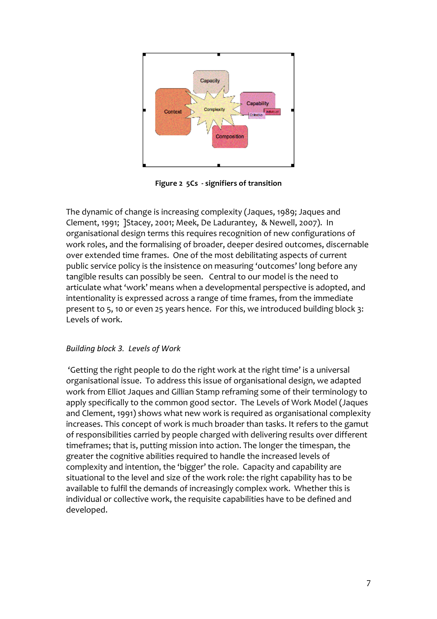

**Figure 2 5Cs - signifiers of transition**

The dynamic of change is increasing complexity (Jaques, 1989; Jaques and Clement. 1991; *IStacey. 2001; Meek, De Ladurantey, & Newell, 2007*). In organisational design terms this requires recognition of new configurations of work roles, and the formalising of broader, deeper desired outcomes, discernable over extended time frames. One of the most debilitating aspects of current public service policy is the insistence on measuring 'outcomes' long before any tangible results can possibly be seen. Central to our model is the need to articulate what 'work' means when a developmental perspective is adopted, and intentionality is expressed across a range of time frames, from the immediate present to 5, 10 or even 25 years hence. For this, we introduced building block 3: Levels of work.

## *Building block 3. Levels of Work*

'Getting the right people to do the right work at the right time' is a universal organisational issue. To address this issue of organisational design, we adapted work from Elliot Jaques and Gillian Stamp reframing some of their terminology to apply specifically to the common good sector. The Levels of Work Model (Jaques and Clement, 1991) shows what new work is required as organisational complexity increases. This concept of work is much broader than tasks. It refers to the gamut of responsibilities carried by people charged with delivering results over different timeframes; that is, putting mission into action. The longer the timespan, the greater the cognitive abilities required to handle the increased levels of complexity and intention, the 'bigger' the role. Capacity and capability are situational to the level and size of the work role: the right capability has to be available to fulfil the demands of increasingly complex work. Whether this is individual or collective work, the requisite capabilities have to be defined and developed.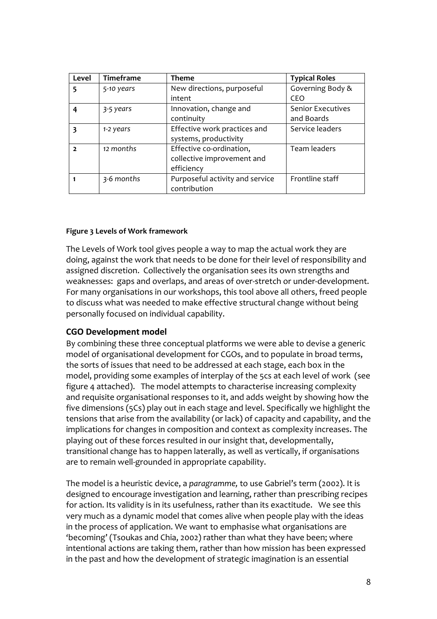| Level | Timeframe  | <b>Theme</b>                    | <b>Typical Roles</b>     |
|-------|------------|---------------------------------|--------------------------|
| 5     | 5-10 years | New directions, purposeful      | Governing Body &         |
|       |            | intent                          | CEO                      |
|       | 3-5 years  | Innovation, change and          | <b>Senior Executives</b> |
|       |            | continuity                      | and Boards               |
|       | 1-2 years  | Effective work practices and    | Service leaders          |
|       |            | systems, productivity           |                          |
|       | 12 months  | Effective co-ordination,        | Team leaders             |
|       |            | collective improvement and      |                          |
|       |            | efficiency                      |                          |
|       | 3-6 months | Purposeful activity and service | Frontline staff          |
|       |            | contribution                    |                          |

#### **Figure 3 Levels of Work framework**

The Levels of Work tool gives people a way to map the actual work they are doing, against the work that needs to be done for their level of responsibility and assigned discretion. Collectively the organisation sees its own strengths and weaknesses: gaps and overlaps, and areas of over-stretch or under-development. For many organisations in our workshops, this tool above all others, freed people to discuss what was needed to make effective structural change without being personally focused on individual capability.

#### **CGO Development model**

By combining these three conceptual platforms we were able to devise a generic model of organisational development for CGOs, and to populate in broad terms, the sorts of issues that need to be addressed at each stage, each box in the model, providing some examples of interplay of the 5cs at each level of work (see figure 4 attached). The model attempts to characterise increasing complexity and requisite organisational responses to it, and adds weight by showing how the five dimensions (5Cs) play out in each stage and level. Specifically we highlight the tensions that arise from the availability (or lack) of capacity and capability, and the implications for changes in composition and context as complexity increases. The playing out of these forces resulted in our insight that, developmentally, transitional change has to happen laterally, as well as vertically, if organisations are to remain well-grounded in appropriate capability.

The model is a heuristic device, a paragramme, to use Gabriel's term (2002). It is designed to encourage investigation and learning, rather than prescribing recipes for action. Its validity is in its usefulness, rather than its exactitude. We see this very much as a dynamic model that comes alive when people play with the ideas in the process of application. We want to emphasise what organisations are 'becoming' (Tsoukas and Chia, 2002) rather than what they have been; where intentional actions are taking them, rather than how mission has been expressed in the past and how the development of strategic imagination is an essential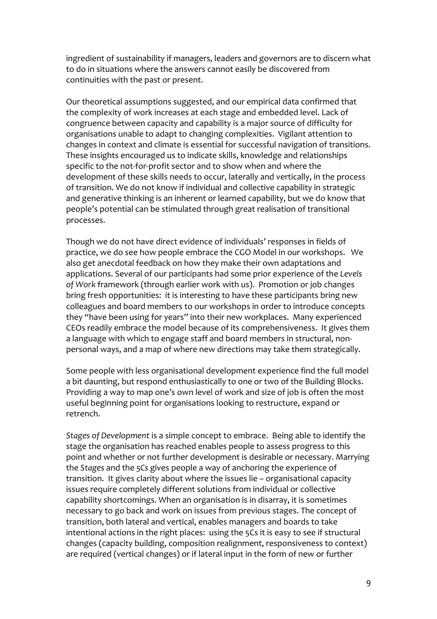ingredient of sustainability if managers, leaders and governors are to discern what to do in situations where the answers cannot easily be discovered from continuities with the past or present.

Our theoretical assumptions suggested, and our empirical data confirmed that the complexity of work increases at each stage and embedded level. Lack of congruence between capacity and capability is a major source of difficulty for organisations unable to adapt to changing complexities. Vigilant attention to changes in context and climate is essential for successful navigation of transitions. These insights encouraged us to indicate skills, knowledge and relationships specific to the not-for-profit sector and to show when and where the development of these skills needs to occur, laterally and vertically, in the process of transition. We do not know if individual and collective capability in strategic and generative thinking is an inherent or learned capability, but we do know that people's potential can be stimulated through great realisation of transitional processes.

Though we do not have direct evidence of individuals' responses in fields of practice, we do see how people embrace the CGO Model in our workshops. We also get anecdotal feedback on how they make their own adaptations and applications. Several of our participants had some prior experience of the Levels of Work framework (through earlier work with us). Promotion or job changes bring fresh opportunities: it is interesting to have these participants bring new colleagues and board members to our workshops in order to introduce concepts they "have been using for years" into their new workplaces. Many experienced CEOs readily embrace the model because of its comprehensiveness. It gives them a language with which to engage staff and board members in structural, nonpersonal ways, and a map of where new directions may take them strategically.

Some people with less organisational development experience find the full model a bit daunting, but respond enthusiastically to one or two of the Building Blocks. Providing a way to map one's own level of work and size of job is often the most useful beginning point for organisations looking to restructure, expand or retrench. 

Stages of Development is a simple concept to embrace. Being able to identify the stage the organisation has reached enables people to assess progress to this point and whether or not further development is desirable or necessary. Marrying the Stages and the 5Cs gives people a way of anchoring the experience of transition. It gives clarity about where the issues lie – organisational capacity issues require completely different solutions from individual or collective capability shortcomings. When an organisation is in disarray, it is sometimes necessary to go back and work on issues from previous stages. The concept of transition, both lateral and vertical, enables managers and boards to take intentional actions in the right places: using the 5Cs it is easy to see if structural changes (capacity building, composition realignment, responsiveness to context) are required (vertical changes) or if lateral input in the form of new or further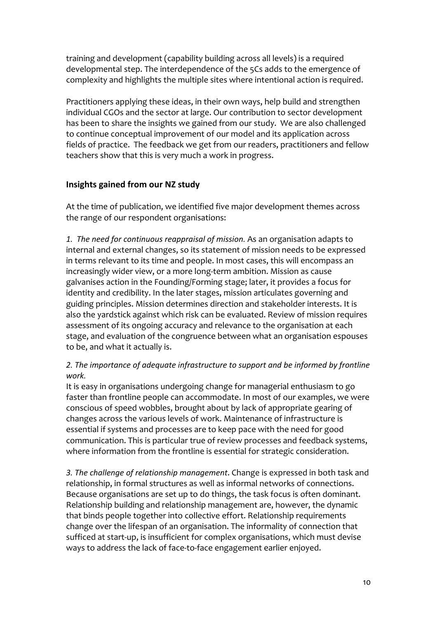training and development (capability building across all levels) is a required developmental step. The interdependence of the 5Cs adds to the emergence of complexity and highlights the multiple sites where intentional action is required.

Practitioners applying these ideas, in their own ways, help build and strengthen individual CGOs and the sector at large. Our contribution to sector development has been to share the insights we gained from our study. We are also challenged to continue conceptual improvement of our model and its application across fields of practice. The feedback we get from our readers, practitioners and fellow teachers show that this is very much a work in progress.

## **Insights gained from our NZ study**

At the time of publication, we identified five major development themes across the range of our respondent organisations:

1. The need for continuous reappraisal of mission. As an organisation adapts to internal and external changes, so its statement of mission needs to be expressed in terms relevant to its time and people. In most cases, this will encompass an increasingly wider view, or a more long-term ambition. Mission as cause galvanises action in the Founding/Forming stage; later, it provides a focus for identity and credibility. In the later stages, mission articulates governing and guiding principles. Mission determines direction and stakeholder interests. It is also the yardstick against which risk can be evaluated. Review of mission requires assessment of its ongoing accuracy and relevance to the organisation at each stage, and evaluation of the congruence between what an organisation espouses to be, and what it actually is.

# 2. The importance of adequate infrastructure to support and be informed by frontline *work.*

It is easy in organisations undergoing change for managerial enthusiasm to go faster than frontline people can accommodate. In most of our examples, we were conscious of speed wobbles, brought about by lack of appropriate gearing of changes across the various levels of work. Maintenance of infrastructure is essential if systems and processes are to keep pace with the need for good communication. This is particular true of review processes and feedback systems, where information from the frontline is essential for strategic consideration.

3. The challenge of relationship management. Change is expressed in both task and relationship, in formal structures as well as informal networks of connections. Because organisations are set up to do things, the task focus is often dominant. Relationship building and relationship management are, however, the dynamic that binds people together into collective effort. Relationship requirements change over the lifespan of an organisation. The informality of connection that sufficed at start-up, is insufficient for complex organisations, which must devise ways to address the lack of face-to-face engagement earlier enjoyed.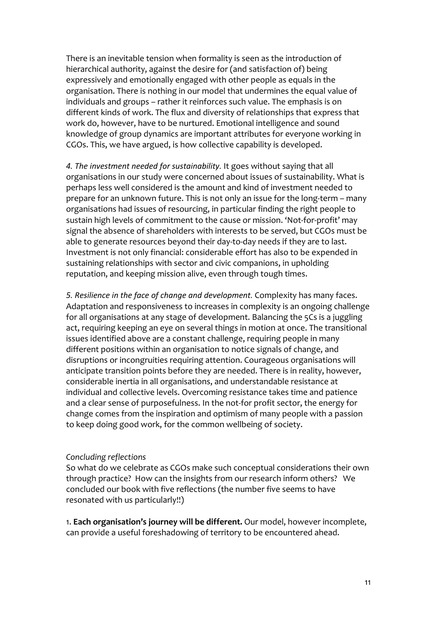There is an inevitable tension when formality is seen as the introduction of hierarchical authority, against the desire for (and satisfaction of) being expressively and emotionally engaged with other people as equals in the organisation. There is nothing in our model that undermines the equal value of individuals and groups - rather it reinforces such value. The emphasis is on different kinds of work. The flux and diversity of relationships that express that work do, however, have to be nurtured. Emotional intelligence and sound knowledge of group dynamics are important attributes for everyone working in CGOs. This, we have argued, is how collective capability is developed.

4. The investment needed for sustainability. It goes without saying that all organisations in our study were concerned about issues of sustainability. What is perhaps less well considered is the amount and kind of investment needed to prepare for an unknown future. This is not only an issue for the long-term – many organisations had issues of resourcing, in particular finding the right people to sustain high levels of commitment to the cause or mission. 'Not-for-profit' may signal the absence of shareholders with interests to be served, but CGOs must be able to generate resources beyond their day-to-day needs if they are to last. Investment is not only financial: considerable effort has also to be expended in sustaining relationships with sector and civic companions, in upholding reputation, and keeping mission alive, even through tough times.

*5. Resilience in the face of change and development.* Complexity has many faces. Adaptation and responsiveness to increases in complexity is an ongoing challenge for all organisations at any stage of development. Balancing the 5Cs is a juggling act, requiring keeping an eye on several things in motion at once. The transitional issues identified above are a constant challenge, requiring people in many different positions within an organisation to notice signals of change, and disruptions or incongruities requiring attention. Courageous organisations will anticipate transition points before they are needed. There is in reality, however, considerable inertia in all organisations, and understandable resistance at individual and collective levels. Overcoming resistance takes time and patience and a clear sense of purposefulness. In the not-for profit sector, the energy for change comes from the inspiration and optimism of many people with a passion to keep doing good work, for the common wellbeing of society.

#### *Concluding reflections*

So what do we celebrate as CGOs make such conceptual considerations their own through practice? How can the insights from our research inform others? We concluded our book with five reflections (the number five seems to have resonated with us particularly!!)

1. **Each organisation's journey will be different.** Our model, however incomplete, can provide a useful foreshadowing of territory to be encountered ahead.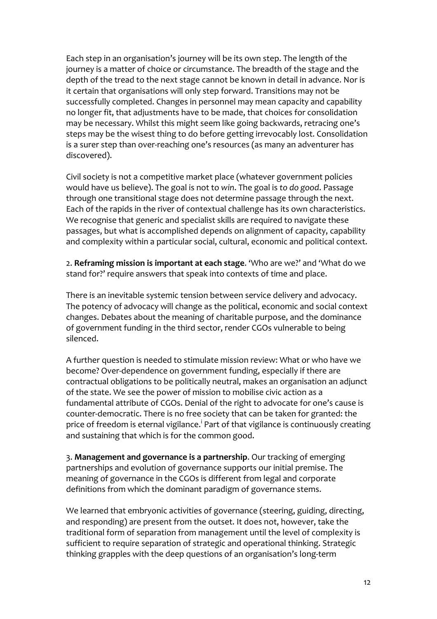Each step in an organisation's journey will be its own step. The length of the journey is a matter of choice or circumstance. The breadth of the stage and the depth of the tread to the next stage cannot be known in detail in advance. Nor is it certain that organisations will only step forward. Transitions may not be successfully completed. Changes in personnel may mean capacity and capability no longer fit, that adjustments have to be made, that choices for consolidation may be necessary. Whilst this might seem like going backwards, retracing one's steps may be the wisest thing to do before getting irrevocably lost. Consolidation is a surer step than over-reaching one's resources (as many an adventurer has discovered). 

Civil society is not a competitive market place (whatever government policies would have us believe). The goal is not to win. The goal is to do good. Passage through one transitional stage does not determine passage through the next. Each of the rapids in the river of contextual challenge has its own characteristics. We recognise that generic and specialist skills are required to navigate these passages, but what is accomplished depends on alignment of capacity, capability and complexity within a particular social, cultural, economic and political context.

2. **Reframing mission is important at each stage.** 'Who are we?' and 'What do we stand for?' require answers that speak into contexts of time and place.

There is an inevitable systemic tension between service delivery and advocacy. The potency of advocacy will change as the political, economic and social context changes. Debates about the meaning of charitable purpose, and the dominance of government funding in the third sector, render CGOs vulnerable to being silenced. 

A further question is needed to stimulate mission review: What or who have we become? Over-dependence on government funding, especially if there are contractual obligations to be politically neutral, makes an organisation an adjunct of the state. We see the power of mission to mobilise civic action as a fundamental attribute of CGOs. Denial of the right to advocate for one's cause is counter-democratic. There is no free society that can be taken for granted: the price of freedom is eternal vigilance.<sup>i</sup> Part of that vigilance is continuously creating and sustaining that which is for the common good.

3. Management and governance is a partnership. Our tracking of emerging partnerships and evolution of governance supports our initial premise. The meaning of governance in the CGOs is different from legal and corporate definitions from which the dominant paradigm of governance stems.

We learned that embryonic activities of governance (steering, guiding, directing, and responding) are present from the outset. It does not, however, take the traditional form of separation from management until the level of complexity is sufficient to require separation of strategic and operational thinking. Strategic thinking grapples with the deep questions of an organisation's long-term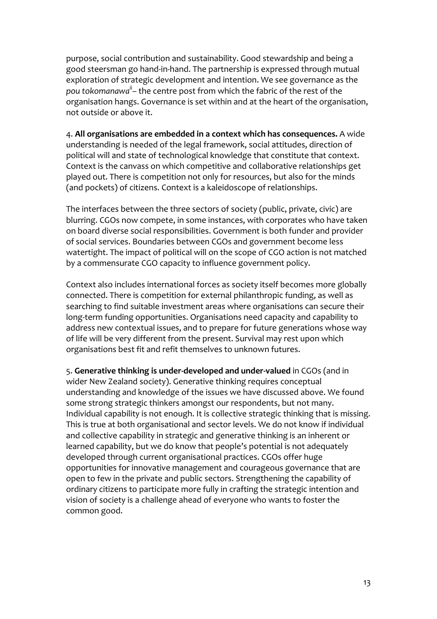purpose, social contribution and sustainability. Good stewardship and being a good steersman go hand-in-hand. The partnership is expressed through mutual exploration of strategic development and intention. We see governance as the pou tokomanawa<sup>ii</sup> – the centre post from which the fabric of the rest of the organisation hangs. Governance is set within and at the heart of the organisation, not outside or above it.

4. All organisations are embedded in a context which has consequences. A wide understanding is needed of the legal framework, social attitudes, direction of political will and state of technological knowledge that constitute that context. Context is the canvass on which competitive and collaborative relationships get played out. There is competition not only for resources, but also for the minds (and pockets) of citizens. Context is a kaleidoscope of relationships.

The interfaces between the three sectors of society (public, private, civic) are blurring. CGOs now compete, in some instances, with corporates who have taken on board diverse social responsibilities. Government is both funder and provider of social services. Boundaries between CGOs and government become less watertight. The impact of political will on the scope of CGO action is not matched by a commensurate CGO capacity to influence government policy.

Context also includes international forces as society itself becomes more globally connected. There is competition for external philanthropic funding, as well as searching to find suitable investment areas where organisations can secure their long-term funding opportunities. Organisations need capacity and capability to address new contextual issues, and to prepare for future generations whose way of life will be very different from the present. Survival may rest upon which organisations best fit and refit themselves to unknown futures.

5. Generative thinking is under-developed and under-valued in CGOs (and in wider New Zealand society). Generative thinking requires conceptual understanding and knowledge of the issues we have discussed above. We found some strong strategic thinkers amongst our respondents, but not many. Individual capability is not enough. It is collective strategic thinking that is missing. This is true at both organisational and sector levels. We do not know if individual and collective capability in strategic and generative thinking is an inherent or learned capability, but we do know that people's potential is not adequately developed through current organisational practices. CGOs offer huge opportunities for innovative management and courageous governance that are open to few in the private and public sectors. Strengthening the capability of ordinary citizens to participate more fully in crafting the strategic intention and vision of society is a challenge ahead of everyone who wants to foster the common good.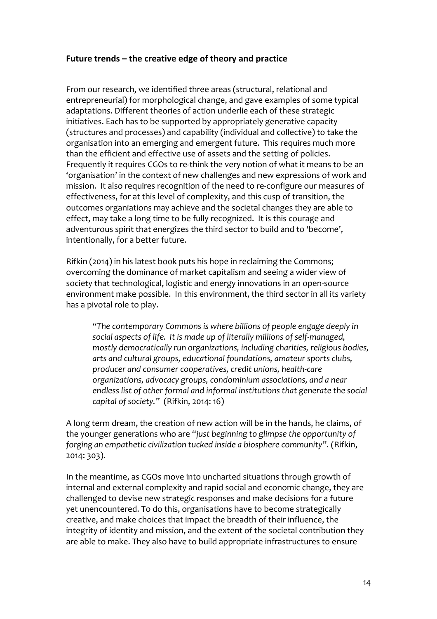## Future trends – the creative edge of theory and practice

From our research, we identified three areas (structural, relational and entrepreneurial) for morphological change, and gave examples of some typical adaptations. Different theories of action underlie each of these strategic initiatives. Each has to be supported by appropriately generative capacity (structures and processes) and capability (individual and collective) to take the organisation into an emerging and emergent future. This requires much more than the efficient and effective use of assets and the setting of policies. Frequently it requires CGOs to re-think the very notion of what it means to be an 'organisation' in the context of new challenges and new expressions of work and mission. It also requires recognition of the need to re-configure our measures of effectiveness, for at this level of complexity, and this cusp of transition, the outcomes organiations may achieve and the societal changes they are able to effect, may take a long time to be fully recognized. It is this courage and adventurous spirit that energizes the third sector to build and to 'become', intentionally, for a better future.

Rifkin (2014) in his latest book puts his hope in reclaiming the Commons; overcoming the dominance of market capitalism and seeing a wider view of society that technological, logistic and energy innovations in an open-source environment make possible. In this environment, the third sector in all its variety has a pivotal role to play.

"The contemporary Commons is where billions of people engage deeply in social aspects of life. It is made up of literally millions of self-managed, *mostly democratically run organizations, including charities, religious bodies,* arts and cultural groups, educational foundations, amateur sports clubs, producer and consumer cooperatives, credit unions, health-care organizations, advocacy groups, condominium associations, and a near endless list of other formal and informal institutions that generate the social *capital* of society." (Rifkin, 2014: 16)

A long term dream, the creation of new action will be in the hands, he claims, of the younger generations who are "just beginning to glimpse the opportunity of *forging an empathetic civilization tucked inside a biosphere community".* (Rifkin, 2014: 303).

In the meantime, as CGOs move into uncharted situations through growth of internal and external complexity and rapid social and economic change, they are challenged to devise new strategic responses and make decisions for a future yet unencountered. To do this, organisations have to become strategically creative, and make choices that impact the breadth of their influence, the integrity of identity and mission, and the extent of the societal contribution they are able to make. They also have to build appropriate infrastructures to ensure